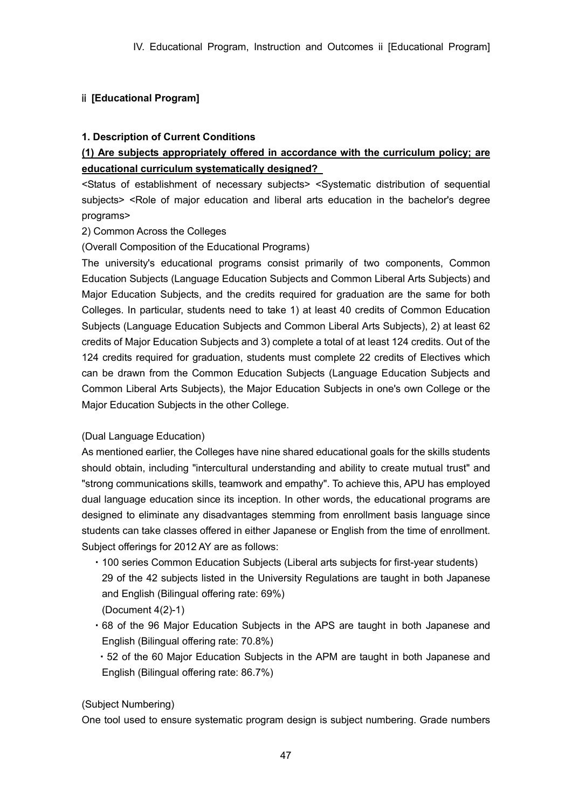# ⅱ **[Educational Program]**

## **1. Description of Current Conditions**

# **(1) Are subjects appropriately offered in accordance with the curriculum policy; are educational curriculum systematically designed?**

<Status of establishment of necessary subjects> <Systematic distribution of sequential subjects> <Role of major education and liberal arts education in the bachelor's degree programs>

## 2) Common Across the Colleges

(Overall Composition of the Educational Programs)

The university's educational programs consist primarily of two components, Common Education Subjects (Language Education Subjects and Common Liberal Arts Subjects) and Major Education Subjects, and the credits required for graduation are the same for both Colleges. In particular, students need to take 1) at least 40 credits of Common Education Subjects (Language Education Subjects and Common Liberal Arts Subjects), 2) at least 62 credits of Major Education Subjects and 3) complete a total of at least 124 credits. Out of the 124 credits required for graduation, students must complete 22 credits of Electives which can be drawn from the Common Education Subjects (Language Education Subjects and Common Liberal Arts Subjects), the Major Education Subjects in one's own College or the Major Education Subjects in the other College.

# (Dual Language Education)

As mentioned earlier, the Colleges have nine shared educational goals for the skills students should obtain, including "intercultural understanding and ability to create mutual trust" and "strong communications skills, teamwork and empathy". To achieve this, APU has employed dual language education since its inception. In other words, the educational programs are designed to eliminate any disadvantages stemming from enrollment basis language since students can take classes offered in either Japanese or English from the time of enrollment. Subject offerings for 2012 AY are as follows:

- ・100 series Common Education Subjects (Liberal arts subjects for first-year students) 29 of the 42 subjects listed in the University Regulations are taught in both Japanese and English (Bilingual offering rate: 69%)
- (Document 4(2)-1)
- ・68 of the 96 Major Education Subjects in the APS are taught in both Japanese and English (Bilingual offering rate: 70.8%)
- ・52 of the 60 Major Education Subjects in the APM are taught in both Japanese and English (Bilingual offering rate: 86.7%)

(Subject Numbering)

One tool used to ensure systematic program design is subject numbering. Grade numbers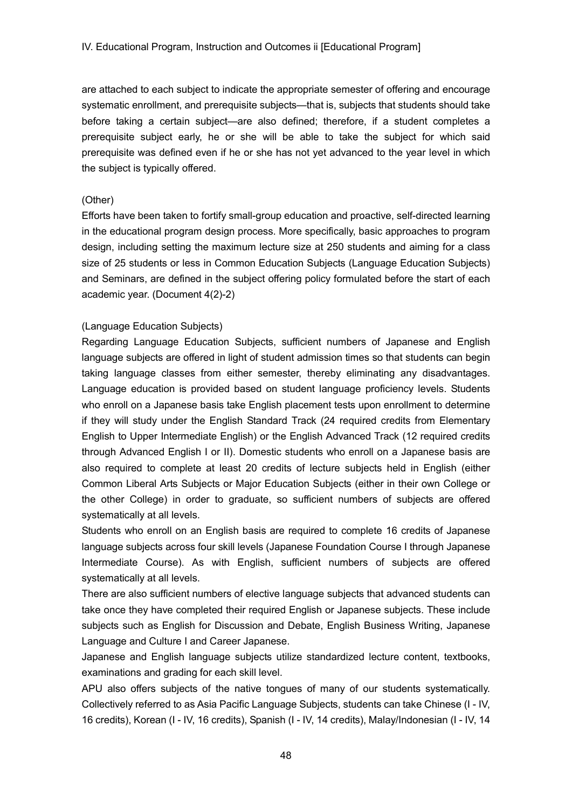are attached to each subject to indicate the appropriate semester of offering and encourage systematic enrollment, and prerequisite subjects—that is, subjects that students should take before taking a certain subject—are also defined; therefore, if a student completes a prerequisite subject early, he or she will be able to take the subject for which said prerequisite was defined even if he or she has not yet advanced to the year level in which the subject is typically offered.

## (Other)

Efforts have been taken to fortify small-group education and proactive, self-directed learning in the educational program design process. More specifically, basic approaches to program design, including setting the maximum lecture size at 250 students and aiming for a class size of 25 students or less in Common Education Subjects (Language Education Subjects) and Seminars, are defined in the subject offering policy formulated before the start of each academic year. (Document 4(2)-2)

## (Language Education Subjects)

Regarding Language Education Subjects, sufficient numbers of Japanese and English language subjects are offered in light of student admission times so that students can begin taking language classes from either semester, thereby eliminating any disadvantages. Language education is provided based on student language proficiency levels. Students who enroll on a Japanese basis take English placement tests upon enrollment to determine if they will study under the English Standard Track (24 required credits from Elementary English to Upper Intermediate English) or the English Advanced Track (12 required credits through Advanced English I or II). Domestic students who enroll on a Japanese basis are also required to complete at least 20 credits of lecture subjects held in English (either Common Liberal Arts Subjects or Major Education Subjects (either in their own College or the other College) in order to graduate, so sufficient numbers of subjects are offered systematically at all levels.

Students who enroll on an English basis are required to complete 16 credits of Japanese language subjects across four skill levels (Japanese Foundation Course I through Japanese Intermediate Course). As with English, sufficient numbers of subjects are offered systematically at all levels.

There are also sufficient numbers of elective language subjects that advanced students can take once they have completed their required English or Japanese subjects. These include subjects such as English for Discussion and Debate, English Business Writing, Japanese Language and Culture I and Career Japanese.

Japanese and English language subjects utilize standardized lecture content, textbooks, examinations and grading for each skill level.

APU also offers subjects of the native tongues of many of our students systematically. Collectively referred to as Asia Pacific Language Subjects, students can take Chinese (I - IV, 16 credits), Korean (I - IV, 16 credits), Spanish (I - IV, 14 credits), Malay/Indonesian (I - IV, 14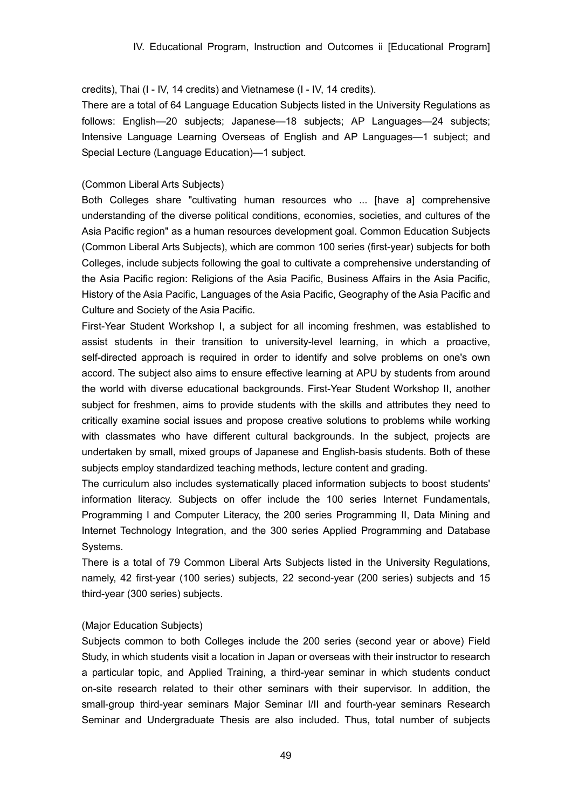credits), Thai (I - IV, 14 credits) and Vietnamese (I - IV, 14 credits).

There are a total of 64 Language Education Subjects listed in the University Regulations as follows: English—20 subjects; Japanese—18 subjects; AP Languages—24 subjects; Intensive Language Learning Overseas of English and AP Languages—1 subject; and Special Lecture (Language Education)—1 subject.

## (Common Liberal Arts Subjects)

Both Colleges share "cultivating human resources who ... [have a] comprehensive understanding of the diverse political conditions, economies, societies, and cultures of the Asia Pacific region" as a human resources development goal. Common Education Subjects (Common Liberal Arts Subjects), which are common 100 series (first-year) subjects for both Colleges, include subjects following the goal to cultivate a comprehensive understanding of the Asia Pacific region: Religions of the Asia Pacific, Business Affairs in the Asia Pacific, History of the Asia Pacific, Languages of the Asia Pacific, Geography of the Asia Pacific and Culture and Society of the Asia Pacific.

First-Year Student Workshop I, a subject for all incoming freshmen, was established to assist students in their transition to university-level learning, in which a proactive, self-directed approach is required in order to identify and solve problems on one's own accord. The subject also aims to ensure effective learning at APU by students from around the world with diverse educational backgrounds. First-Year Student Workshop II, another subject for freshmen, aims to provide students with the skills and attributes they need to critically examine social issues and propose creative solutions to problems while working with classmates who have different cultural backgrounds. In the subject, projects are undertaken by small, mixed groups of Japanese and English-basis students. Both of these subjects employ standardized teaching methods, lecture content and grading.

The curriculum also includes systematically placed information subjects to boost students' information literacy. Subjects on offer include the 100 series Internet Fundamentals, Programming I and Computer Literacy, the 200 series Programming II, Data Mining and Internet Technology Integration, and the 300 series Applied Programming and Database Systems.

There is a total of 79 Common Liberal Arts Subjects listed in the University Regulations, namely, 42 first-year (100 series) subjects, 22 second-year (200 series) subjects and 15 third-year (300 series) subjects.

## (Major Education Subjects)

Subjects common to both Colleges include the 200 series (second year or above) Field Study, in which students visit a location in Japan or overseas with their instructor to research a particular topic, and Applied Training, a third-year seminar in which students conduct on-site research related to their other seminars with their supervisor. In addition, the small-group third-year seminars Major Seminar I/II and fourth-year seminars Research Seminar and Undergraduate Thesis are also included. Thus, total number of subjects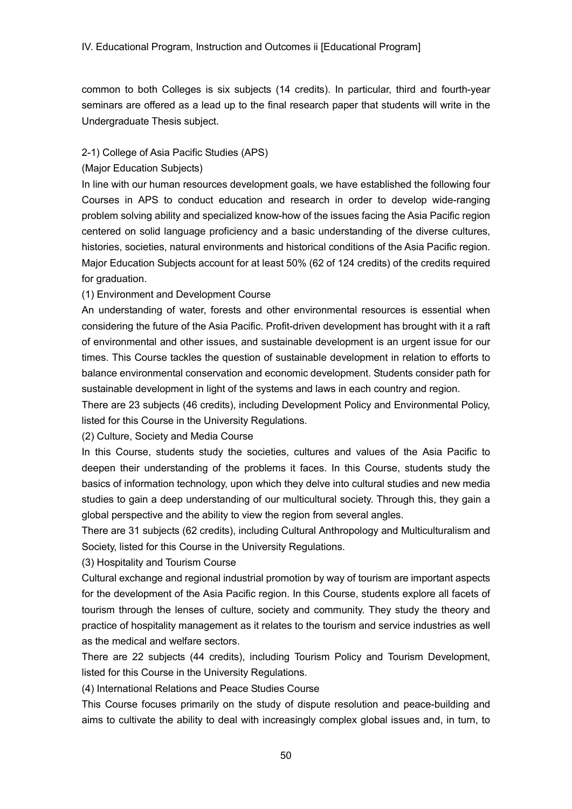common to both Colleges is six subjects (14 credits). In particular, third and fourth-year seminars are offered as a lead up to the final research paper that students will write in the Undergraduate Thesis subject.

### 2-1) College of Asia Pacific Studies (APS)

### (Major Education Subjects)

In line with our human resources development goals, we have established the following four Courses in APS to conduct education and research in order to develop wide-ranging problem solving ability and specialized know-how of the issues facing the Asia Pacific region centered on solid language proficiency and a basic understanding of the diverse cultures, histories, societies, natural environments and historical conditions of the Asia Pacific region. Major Education Subjects account for at least 50% (62 of 124 credits) of the credits required for graduation.

## (1) Environment and Development Course

An understanding of water, forests and other environmental resources is essential when considering the future of the Asia Pacific. Profit-driven development has brought with it a raft of environmental and other issues, and sustainable development is an urgent issue for our times. This Course tackles the question of sustainable development in relation to efforts to balance environmental conservation and economic development. Students consider path for sustainable development in light of the systems and laws in each country and region.

There are 23 subjects (46 credits), including Development Policy and Environmental Policy, listed for this Course in the University Regulations.

#### (2) Culture, Society and Media Course

In this Course, students study the societies, cultures and values of the Asia Pacific to deepen their understanding of the problems it faces. In this Course, students study the basics of information technology, upon which they delve into cultural studies and new media studies to gain a deep understanding of our multicultural society. Through this, they gain a global perspective and the ability to view the region from several angles.

There are 31 subjects (62 credits), including Cultural Anthropology and Multiculturalism and Society, listed for this Course in the University Regulations.

(3) Hospitality and Tourism Course

Cultural exchange and regional industrial promotion by way of tourism are important aspects for the development of the Asia Pacific region. In this Course, students explore all facets of tourism through the lenses of culture, society and community. They study the theory and practice of hospitality management as it relates to the tourism and service industries as well as the medical and welfare sectors.

There are 22 subjects (44 credits), including Tourism Policy and Tourism Development, listed for this Course in the University Regulations.

(4) International Relations and Peace Studies Course

This Course focuses primarily on the study of dispute resolution and peace-building and aims to cultivate the ability to deal with increasingly complex global issues and, in turn, to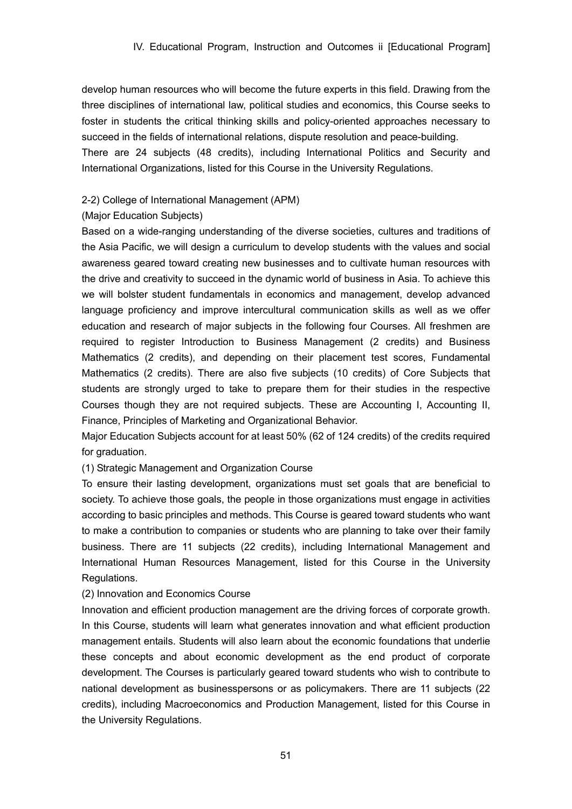develop human resources who will become the future experts in this field. Drawing from the three disciplines of international law, political studies and economics, this Course seeks to foster in students the critical thinking skills and policy-oriented approaches necessary to succeed in the fields of international relations, dispute resolution and peace-building.

There are 24 subjects (48 credits), including International Politics and Security and International Organizations, listed for this Course in the University Regulations.

#### 2-2) College of International Management (APM)

#### (Major Education Subjects)

Based on a wide-ranging understanding of the diverse societies, cultures and traditions of the Asia Pacific, we will design a curriculum to develop students with the values and social awareness geared toward creating new businesses and to cultivate human resources with the drive and creativity to succeed in the dynamic world of business in Asia. To achieve this we will bolster student fundamentals in economics and management, develop advanced language proficiency and improve intercultural communication skills as well as we offer education and research of major subjects in the following four Courses. All freshmen are required to register Introduction to Business Management (2 credits) and Business Mathematics (2 credits), and depending on their placement test scores, Fundamental Mathematics (2 credits). There are also five subjects (10 credits) of Core Subjects that students are strongly urged to take to prepare them for their studies in the respective Courses though they are not required subjects. These are Accounting I, Accounting II, Finance, Principles of Marketing and Organizational Behavior.

Major Education Subjects account for at least 50% (62 of 124 credits) of the credits required for graduation.

#### (1) Strategic Management and Organization Course

To ensure their lasting development, organizations must set goals that are beneficial to society. To achieve those goals, the people in those organizations must engage in activities according to basic principles and methods. This Course is geared toward students who want to make a contribution to companies or students who are planning to take over their family business. There are 11 subjects (22 credits), including International Management and International Human Resources Management, listed for this Course in the University Regulations.

#### (2) Innovation and Economics Course

Innovation and efficient production management are the driving forces of corporate growth. In this Course, students will learn what generates innovation and what efficient production management entails. Students will also learn about the economic foundations that underlie these concepts and about economic development as the end product of corporate development. The Courses is particularly geared toward students who wish to contribute to national development as businesspersons or as policymakers. There are 11 subjects (22 credits), including Macroeconomics and Production Management, listed for this Course in the University Regulations.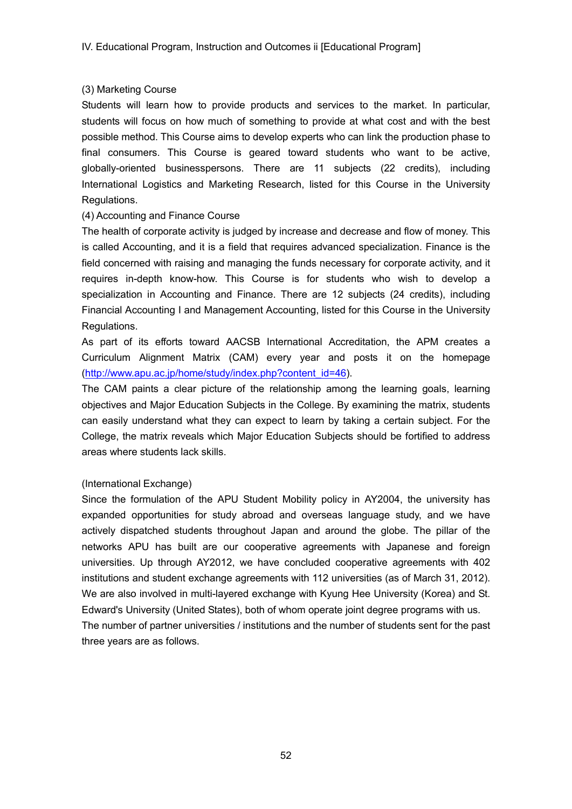## (3) Marketing Course

Students will learn how to provide products and services to the market. In particular, students will focus on how much of something to provide at what cost and with the best possible method. This Course aims to develop experts who can link the production phase to final consumers. This Course is geared toward students who want to be active, globally-oriented businesspersons. There are 11 subjects (22 credits), including International Logistics and Marketing Research, listed for this Course in the University Regulations.

## (4) Accounting and Finance Course

The health of corporate activity is judged by increase and decrease and flow of money. This is called Accounting, and it is a field that requires advanced specialization. Finance is the field concerned with raising and managing the funds necessary for corporate activity, and it requires in-depth know-how. This Course is for students who wish to develop a specialization in Accounting and Finance. There are 12 subjects (24 credits), including Financial Accounting I and Management Accounting, listed for this Course in the University Regulations.

As part of its efforts toward AACSB International Accreditation, the APM creates a Curriculum Alignment Matrix (CAM) every year and posts it on the homepage (http://www.apu.ac.jp/home/study/index.php?content\_id=46).

The CAM paints a clear picture of the relationship among the learning goals, learning objectives and Major Education Subjects in the College. By examining the matrix, students can easily understand what they can expect to learn by taking a certain subject. For the College, the matrix reveals which Major Education Subjects should be fortified to address areas where students lack skills.

## (International Exchange)

Since the formulation of the APU Student Mobility policy in AY2004, the university has expanded opportunities for study abroad and overseas language study, and we have actively dispatched students throughout Japan and around the globe. The pillar of the networks APU has built are our cooperative agreements with Japanese and foreign universities. Up through AY2012, we have concluded cooperative agreements with 402 institutions and student exchange agreements with 112 universities (as of March 31, 2012). We are also involved in multi-layered exchange with Kyung Hee University (Korea) and St. Edward's University (United States), both of whom operate joint degree programs with us. The number of partner universities / institutions and the number of students sent for the past three years are as follows.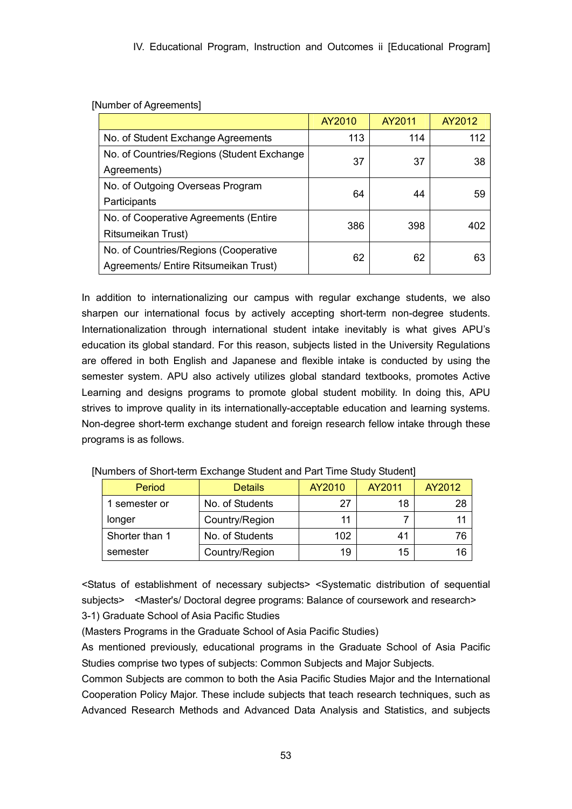|                                            | AY2010 | AY2011 | AY2012 |  |
|--------------------------------------------|--------|--------|--------|--|
| No. of Student Exchange Agreements         | 113    | 114    | 112    |  |
| No. of Countries/Regions (Student Exchange | 37     | 37     | 38     |  |
| Agreements)                                |        |        |        |  |
| No. of Outgoing Overseas Program           | 64     | 44     |        |  |
| Participants                               |        |        | 59     |  |
| No. of Cooperative Agreements (Entire      | 386    | 398    | 402    |  |
| Ritsumeikan Trust)                         |        |        |        |  |
| No. of Countries/Regions (Cooperative      | 62     | 62     | 63     |  |
| Agreements/ Entire Ritsumeikan Trust)      |        |        |        |  |

[Number of Agreements]

In addition to internationalizing our campus with regular exchange students, we also sharpen our international focus by actively accepting short-term non-degree students. Internationalization through international student intake inevitably is what gives APU's education its global standard. For this reason, subjects listed in the University Regulations are offered in both English and Japanese and flexible intake is conducted by using the semester system. APU also actively utilizes global standard textbooks, promotes Active Learning and designs programs to promote global student mobility. In doing this, APU strives to improve quality in its internationally-acceptable education and learning systems. Non-degree short-term exchange student and foreign research fellow intake through these programs is as follows.

| Period         | <b>Details</b>  | AY2010 | AY2011 | AY2012 |
|----------------|-----------------|--------|--------|--------|
| 1 semester or  | No. of Students |        | 18     | 28     |
| longer         | Country/Region  | 11     |        | 11     |
| Shorter than 1 | No. of Students | 102    | 41     | 76     |
| semester       | Country/Region  | 19     | 15     | 16     |

[Numbers of Short-term Exchange Student and Part Time Study Student]

<Status of establishment of necessary subjects> <Systematic distribution of sequential subjects> <Master's/ Doctoral degree programs: Balance of coursework and research>

3-1) Graduate School of Asia Pacific Studies

(Masters Programs in the Graduate School of Asia Pacific Studies)

As mentioned previously, educational programs in the Graduate School of Asia Pacific Studies comprise two types of subjects: Common Subjects and Major Subjects.

Common Subjects are common to both the Asia Pacific Studies Major and the International Cooperation Policy Major. These include subjects that teach research techniques, such as Advanced Research Methods and Advanced Data Analysis and Statistics, and subjects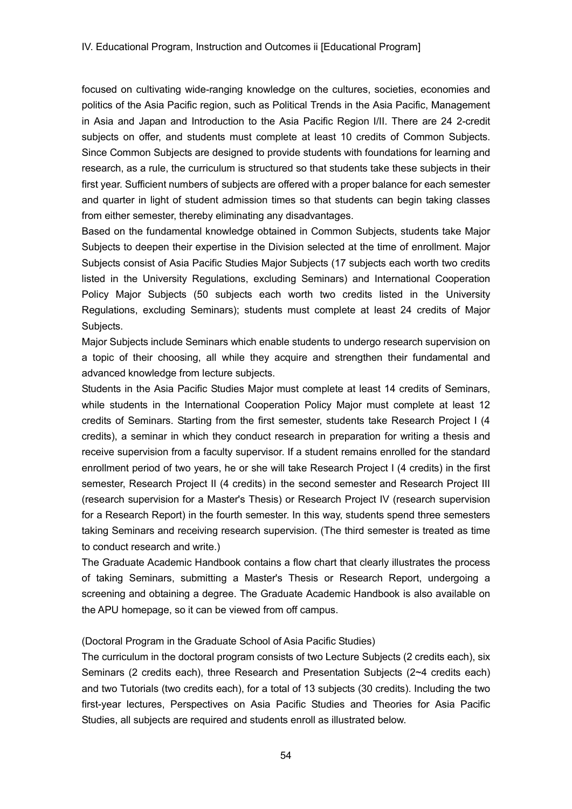focused on cultivating wide-ranging knowledge on the cultures, societies, economies and politics of the Asia Pacific region, such as Political Trends in the Asia Pacific, Management in Asia and Japan and Introduction to the Asia Pacific Region I/II. There are 24 2-credit subjects on offer, and students must complete at least 10 credits of Common Subjects. Since Common Subjects are designed to provide students with foundations for learning and research, as a rule, the curriculum is structured so that students take these subjects in their first year. Sufficient numbers of subjects are offered with a proper balance for each semester and quarter in light of student admission times so that students can begin taking classes from either semester, thereby eliminating any disadvantages.

Based on the fundamental knowledge obtained in Common Subjects, students take Major Subjects to deepen their expertise in the Division selected at the time of enrollment. Major Subjects consist of Asia Pacific Studies Major Subjects (17 subjects each worth two credits listed in the University Regulations, excluding Seminars) and International Cooperation Policy Major Subjects (50 subjects each worth two credits listed in the University Regulations, excluding Seminars); students must complete at least 24 credits of Major Subjects.

Major Subjects include Seminars which enable students to undergo research supervision on a topic of their choosing, all while they acquire and strengthen their fundamental and advanced knowledge from lecture subjects.

Students in the Asia Pacific Studies Major must complete at least 14 credits of Seminars, while students in the International Cooperation Policy Major must complete at least 12 credits of Seminars. Starting from the first semester, students take Research Project I (4 credits), a seminar in which they conduct research in preparation for writing a thesis and receive supervision from a faculty supervisor. If a student remains enrolled for the standard enrollment period of two years, he or she will take Research Project I (4 credits) in the first semester, Research Project II (4 credits) in the second semester and Research Project III (research supervision for a Master's Thesis) or Research Project IV (research supervision for a Research Report) in the fourth semester. In this way, students spend three semesters taking Seminars and receiving research supervision. (The third semester is treated as time to conduct research and write.)

The Graduate Academic Handbook contains a flow chart that clearly illustrates the process of taking Seminars, submitting a Master's Thesis or Research Report, undergoing a screening and obtaining a degree. The Graduate Academic Handbook is also available on the APU homepage, so it can be viewed from off campus.

(Doctoral Program in the Graduate School of Asia Pacific Studies)

The curriculum in the doctoral program consists of two Lecture Subjects (2 credits each), six Seminars (2 credits each), three Research and Presentation Subjects (2~4 credits each) and two Tutorials (two credits each), for a total of 13 subjects (30 credits). Including the two first-year lectures, Perspectives on Asia Pacific Studies and Theories for Asia Pacific Studies, all subjects are required and students enroll as illustrated below.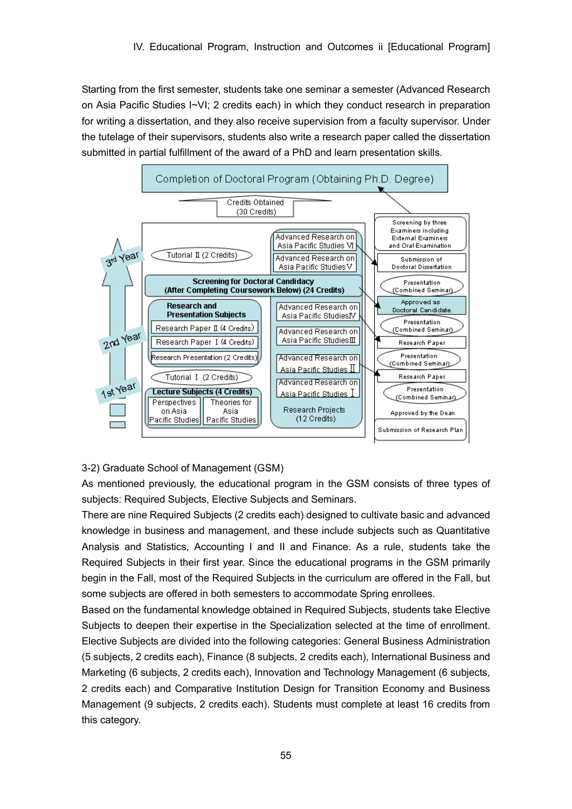Starting from the first semester, students take one seminar a semester (Advanced Research on Asia Pacific Studies I~VI; 2 credits each) in which they conduct research in preparation for writing a dissertation, and they also receive supervision from a faculty supervisor. Under the tutelage of their supervisors, students also write a research paper called the dissertation submitted in partial fulfillment of the award of a PhD and learn presentation skills.



## 3-2) Graduate School of Management (GSM)

As mentioned previously, the educational program in the GSM consists of three types of subjects: Required Subjects, Elective Subjects and Seminars.

There are nine Required Subjects (2 credits each) designed to cultivate basic and advanced knowledge in business and management, and these include subjects such as Quantitative Analysis and Statistics, Accounting I and II and Finance. As a rule, students take the Required Subjects in their first year. Since the educational programs in the GSM primarily begin in the Fall, most of the Required Subjects in the curriculum are offered in the Fall, but some subjects are offered in both semesters to accommodate Spring enrollees.

Based on the fundamental knowledge obtained in Required Subjects, students take Elective Subjects to deepen their expertise in the Specialization selected at the time of enrollment. Elective Subjects are divided into the following categories: General Business Administration (5 subjects, 2 credits each), Finance (8 subjects, 2 credits each), International Business and Marketing (6 subjects, 2 credits each), Innovation and Technology Management (6 subjects, 2 credits each) and Comparative Institution Design for Transition Economy and Business Management (9 subjects, 2 credits each). Students must complete at least 16 credits from this category.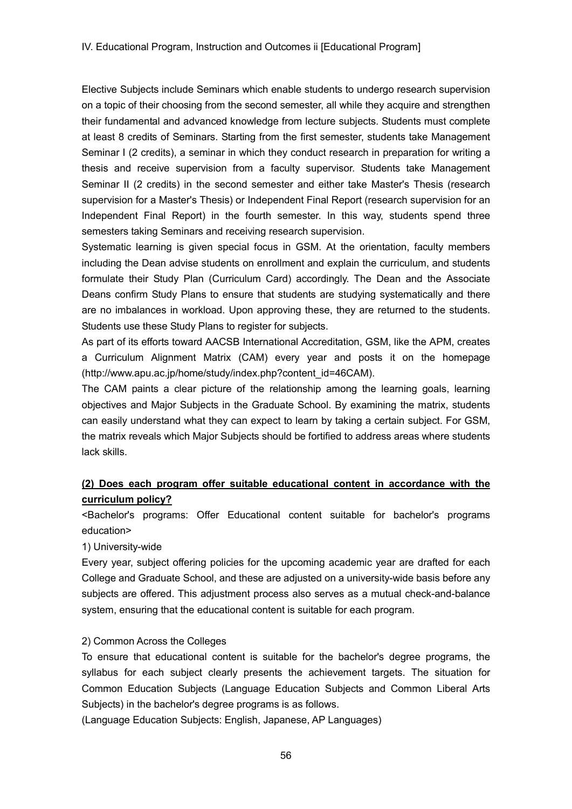Elective Subjects include Seminars which enable students to undergo research supervision on a topic of their choosing from the second semester, all while they acquire and strengthen their fundamental and advanced knowledge from lecture subjects. Students must complete at least 8 credits of Seminars. Starting from the first semester, students take Management Seminar I (2 credits), a seminar in which they conduct research in preparation for writing a thesis and receive supervision from a faculty supervisor. Students take Management Seminar II (2 credits) in the second semester and either take Master's Thesis (research supervision for a Master's Thesis) or Independent Final Report (research supervision for an Independent Final Report) in the fourth semester. In this way, students spend three semesters taking Seminars and receiving research supervision.

Systematic learning is given special focus in GSM. At the orientation, faculty members including the Dean advise students on enrollment and explain the curriculum, and students formulate their Study Plan (Curriculum Card) accordingly. The Dean and the Associate Deans confirm Study Plans to ensure that students are studying systematically and there are no imbalances in workload. Upon approving these, they are returned to the students. Students use these Study Plans to register for subjects.

As part of its efforts toward AACSB International Accreditation, GSM, like the APM, creates a Curriculum Alignment Matrix (CAM) every year and posts it on the homepage (http://www.apu.ac.jp/home/study/index.php?content\_id=46CAM).

The CAM paints a clear picture of the relationship among the learning goals, learning objectives and Major Subjects in the Graduate School. By examining the matrix, students can easily understand what they can expect to learn by taking a certain subject. For GSM, the matrix reveals which Major Subjects should be fortified to address areas where students lack skills.

# **(2) Does each program offer suitable educational content in accordance with the curriculum policy?**

<Bachelor's programs: Offer Educational content suitable for bachelor's programs education>

1) University-wide

Every year, subject offering policies for the upcoming academic year are drafted for each College and Graduate School, and these are adjusted on a university-wide basis before any subjects are offered. This adjustment process also serves as a mutual check-and-balance system, ensuring that the educational content is suitable for each program.

## 2) Common Across the Colleges

To ensure that educational content is suitable for the bachelor's degree programs, the syllabus for each subject clearly presents the achievement targets. The situation for Common Education Subjects (Language Education Subjects and Common Liberal Arts Subjects) in the bachelor's degree programs is as follows.

(Language Education Subjects: English, Japanese, AP Languages)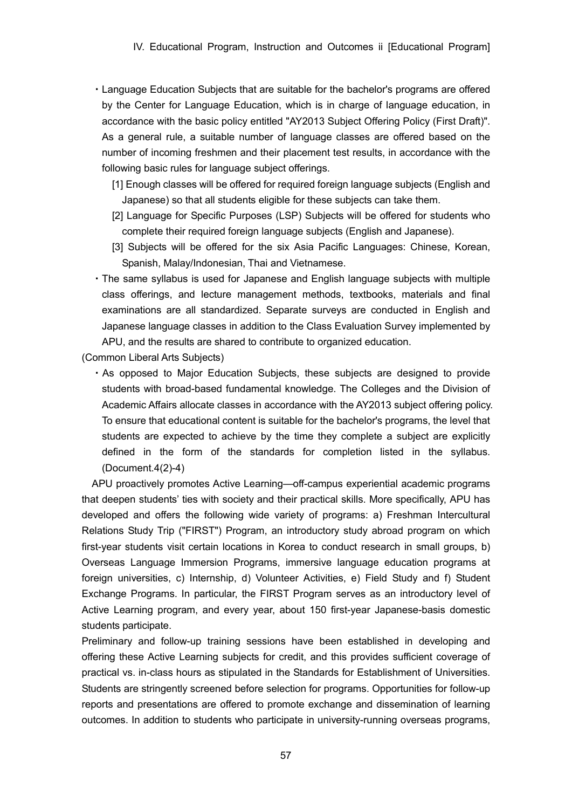- ・Language Education Subjects that are suitable for the bachelor's programs are offered by the Center for Language Education, which is in charge of language education, in accordance with the basic policy entitled "AY2013 Subject Offering Policy (First Draft)". As a general rule, a suitable number of language classes are offered based on the number of incoming freshmen and their placement test results, in accordance with the following basic rules for language subject offerings.
	- [1] Enough classes will be offered for required foreign language subjects (English and Japanese) so that all students eligible for these subjects can take them.
	- [2] Language for Specific Purposes (LSP) Subjects will be offered for students who complete their required foreign language subjects (English and Japanese).
	- [3] Subjects will be offered for the six Asia Pacific Languages: Chinese, Korean, Spanish, Malay/Indonesian, Thai and Vietnamese.
- ・The same syllabus is used for Japanese and English language subjects with multiple class offerings, and lecture management methods, textbooks, materials and final examinations are all standardized. Separate surveys are conducted in English and Japanese language classes in addition to the Class Evaluation Survey implemented by APU, and the results are shared to contribute to organized education.

(Common Liberal Arts Subjects)

・As opposed to Major Education Subjects, these subjects are designed to provide students with broad-based fundamental knowledge. The Colleges and the Division of Academic Affairs allocate classes in accordance with the AY2013 subject offering policy. To ensure that educational content is suitable for the bachelor's programs, the level that students are expected to achieve by the time they complete a subject are explicitly defined in the form of the standards for completion listed in the syllabus. (Document.4(2)-4)

APU proactively promotes Active Learning—off-campus experiential academic programs that deepen students' ties with society and their practical skills. More specifically, APU has developed and offers the following wide variety of programs: a) Freshman Intercultural Relations Study Trip ("FIRST") Program, an introductory study abroad program on which first-year students visit certain locations in Korea to conduct research in small groups, b) Overseas Language Immersion Programs, immersive language education programs at foreign universities, c) Internship, d) Volunteer Activities, e) Field Study and f) Student Exchange Programs. In particular, the FIRST Program serves as an introductory level of Active Learning program, and every year, about 150 first-year Japanese-basis domestic students participate.

Preliminary and follow-up training sessions have been established in developing and offering these Active Learning subjects for credit, and this provides sufficient coverage of practical vs. in-class hours as stipulated in the Standards for Establishment of Universities. Students are stringently screened before selection for programs. Opportunities for follow-up reports and presentations are offered to promote exchange and dissemination of learning outcomes. In addition to students who participate in university-running overseas programs,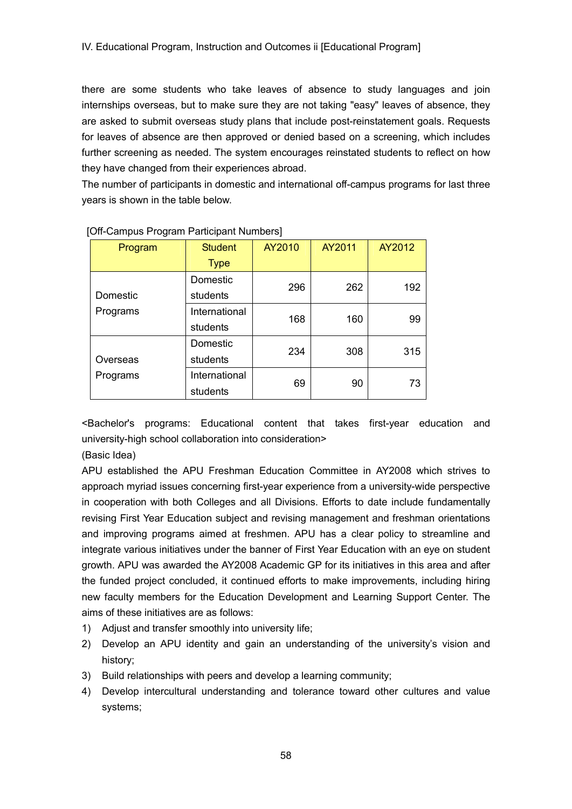there are some students who take leaves of absence to study languages and join internships overseas, but to make sure they are not taking "easy" leaves of absence, they are asked to submit overseas study plans that include post-reinstatement goals. Requests for leaves of absence are then approved or denied based on a screening, which includes further screening as needed. The system encourages reinstated students to reflect on how they have changed from their experiences abroad.

The number of participants in domestic and international off-campus programs for last three years is shown in the table below.

| Program  | <b>Student</b> | AY2010 | AY2011 | AY2012 |
|----------|----------------|--------|--------|--------|
|          | <b>Type</b>    |        |        |        |
|          | Domestic       | 296    | 262    | 192    |
| Domestic | students       |        |        |        |
| Programs | International  | 168    | 160    | 99     |
|          | students       |        |        |        |
|          | Domestic       | 234    | 308    | 315    |
| Overseas | students       |        |        |        |
| Programs | International  | 69     | 90     | 73     |
|          | students       |        |        |        |

#### [Off-Campus Program Participant Numbers]

<Bachelor's programs: Educational content that takes first-year education and university-high school collaboration into consideration>

(Basic Idea)

APU established the APU Freshman Education Committee in AY2008 which strives to approach myriad issues concerning first-year experience from a university-wide perspective in cooperation with both Colleges and all Divisions. Efforts to date include fundamentally revising First Year Education subject and revising management and freshman orientations and improving programs aimed at freshmen. APU has a clear policy to streamline and integrate various initiatives under the banner of First Year Education with an eye on student growth. APU was awarded the AY2008 Academic GP for its initiatives in this area and after the funded project concluded, it continued efforts to make improvements, including hiring new faculty members for the Education Development and Learning Support Center. The aims of these initiatives are as follows:

- 1) Adjust and transfer smoothly into university life;
- 2) Develop an APU identity and gain an understanding of the university's vision and history;
- 3) Build relationships with peers and develop a learning community;
- 4) Develop intercultural understanding and tolerance toward other cultures and value systems;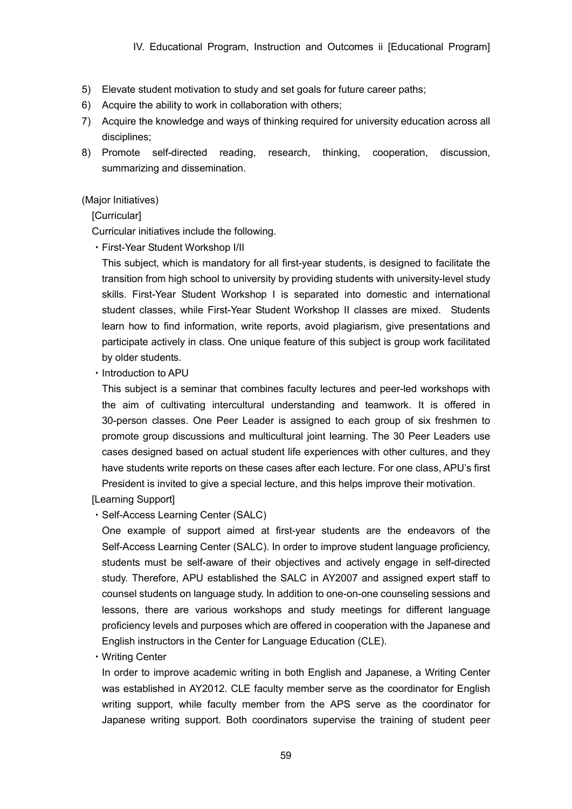- 5) Elevate student motivation to study and set goals for future career paths;
- 6) Acquire the ability to work in collaboration with others;
- 7) Acquire the knowledge and ways of thinking required for university education across all disciplines;
- 8) Promote self-directed reading, research, thinking, cooperation, discussion, summarizing and dissemination.

#### (Major Initiatives)

**[Curricular]** 

Curricular initiatives include the following.

・First-Year Student Workshop I/II

This subject, which is mandatory for all first-year students, is designed to facilitate the transition from high school to university by providing students with university-level study skills. First-Year Student Workshop I is separated into domestic and international student classes, while First-Year Student Workshop II classes are mixed. Students learn how to find information, write reports, avoid plagiarism, give presentations and participate actively in class. One unique feature of this subject is group work facilitated by older students.

・Introduction to APU

This subject is a seminar that combines faculty lectures and peer-led workshops with the aim of cultivating intercultural understanding and teamwork. It is offered in 30-person classes. One Peer Leader is assigned to each group of six freshmen to promote group discussions and multicultural joint learning. The 30 Peer Leaders use cases designed based on actual student life experiences with other cultures, and they have students write reports on these cases after each lecture. For one class, APU's first President is invited to give a special lecture, and this helps improve their motivation.

[Learning Support]

・Self-Access Learning Center (SALC)

One example of support aimed at first-year students are the endeavors of the Self-Access Learning Center (SALC). In order to improve student language proficiency, students must be self-aware of their objectives and actively engage in self-directed study. Therefore, APU established the SALC in AY2007 and assigned expert staff to counsel students on language study. In addition to one-on-one counseling sessions and lessons, there are various workshops and study meetings for different language proficiency levels and purposes which are offered in cooperation with the Japanese and English instructors in the Center for Language Education (CLE).

・Writing Center

In order to improve academic writing in both English and Japanese, a Writing Center was established in AY2012. CLE faculty member serve as the coordinator for English writing support, while faculty member from the APS serve as the coordinator for Japanese writing support. Both coordinators supervise the training of student peer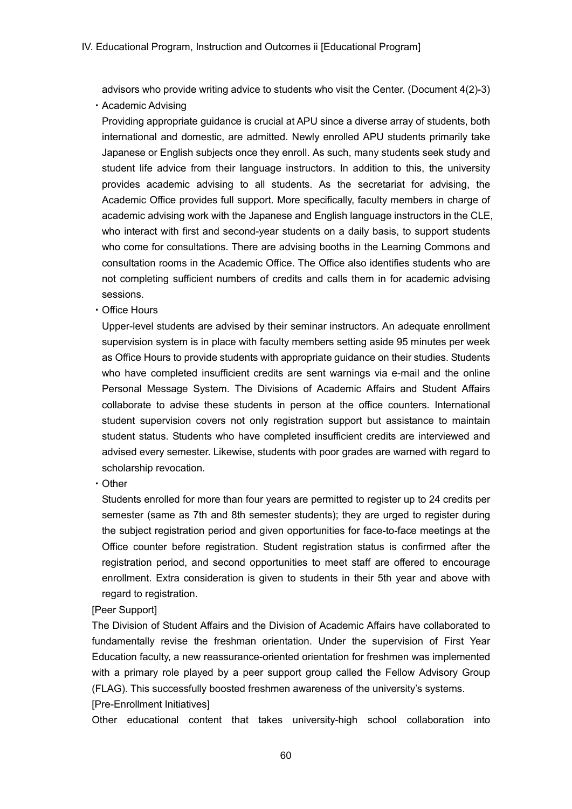advisors who provide writing advice to students who visit the Center. (Document 4(2)-3)

・Academic Advising

Providing appropriate guidance is crucial at APU since a diverse array of students, both international and domestic, are admitted. Newly enrolled APU students primarily take Japanese or English subjects once they enroll. As such, many students seek study and student life advice from their language instructors. In addition to this, the university provides academic advising to all students. As the secretariat for advising, the Academic Office provides full support. More specifically, faculty members in charge of academic advising work with the Japanese and English language instructors in the CLE, who interact with first and second-year students on a daily basis, to support students who come for consultations. There are advising booths in the Learning Commons and consultation rooms in the Academic Office. The Office also identifies students who are not completing sufficient numbers of credits and calls them in for academic advising sessions.

・Office Hours

Upper-level students are advised by their seminar instructors. An adequate enrollment supervision system is in place with faculty members setting aside 95 minutes per week as Office Hours to provide students with appropriate guidance on their studies. Students who have completed insufficient credits are sent warnings via e-mail and the online Personal Message System. The Divisions of Academic Affairs and Student Affairs collaborate to advise these students in person at the office counters. International student supervision covers not only registration support but assistance to maintain student status. Students who have completed insufficient credits are interviewed and advised every semester. Likewise, students with poor grades are warned with regard to scholarship revocation.

・Other

Students enrolled for more than four years are permitted to register up to 24 credits per semester (same as 7th and 8th semester students); they are urged to register during the subject registration period and given opportunities for face-to-face meetings at the Office counter before registration. Student registration status is confirmed after the registration period, and second opportunities to meet staff are offered to encourage enrollment. Extra consideration is given to students in their 5th year and above with regard to registration.

## [Peer Support]

The Division of Student Affairs and the Division of Academic Affairs have collaborated to fundamentally revise the freshman orientation. Under the supervision of First Year Education faculty, a new reassurance-oriented orientation for freshmen was implemented with a primary role played by a peer support group called the Fellow Advisory Group (FLAG). This successfully boosted freshmen awareness of the university's systems. [Pre-Enrollment Initiatives]

Other educational content that takes university-high school collaboration into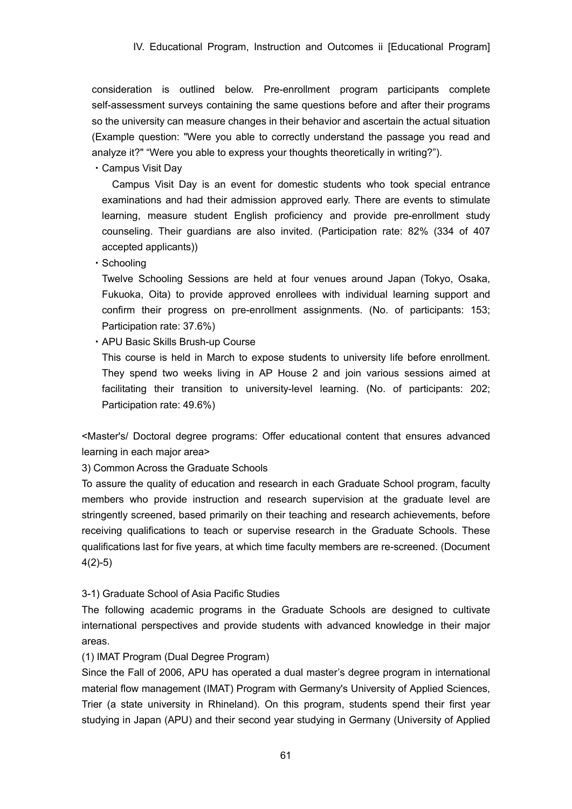consideration is outlined below. Pre-enrollment program participants complete self-assessment surveys containing the same questions before and after their programs so the university can measure changes in their behavior and ascertain the actual situation (Example question: "Were you able to correctly understand the passage you read and analyze it?" "Were you able to express your thoughts theoretically in writing?").

・Campus Visit Day

Campus Visit Day is an event for domestic students who took special entrance examinations and had their admission approved early. There are events to stimulate learning, measure student English proficiency and provide pre-enrollment study counseling. Their guardians are also invited. (Participation rate: 82% (334 of 407 accepted applicants))

・Schooling

Twelve Schooling Sessions are held at four venues around Japan (Tokyo, Osaka, Fukuoka, Oita) to provide approved enrollees with individual learning support and confirm their progress on pre-enrollment assignments. (No. of participants: 153; Participation rate: 37.6%)

・APU Basic Skills Brush-up Course

This course is held in March to expose students to university life before enrollment. They spend two weeks living in AP House 2 and join various sessions aimed at facilitating their transition to university-level learning. (No. of participants: 202; Participation rate: 49.6%)

<Master's/ Doctoral degree programs: Offer educational content that ensures advanced learning in each major area>

3) Common Across the Graduate Schools

To assure the quality of education and research in each Graduate School program, faculty members who provide instruction and research supervision at the graduate level are stringently screened, based primarily on their teaching and research achievements, before receiving qualifications to teach or supervise research in the Graduate Schools. These qualifications last for five years, at which time faculty members are re-screened. (Document 4(2)-5)

## 3-1) Graduate School of Asia Pacific Studies

The following academic programs in the Graduate Schools are designed to cultivate international perspectives and provide students with advanced knowledge in their major areas.

## (1) IMAT Program (Dual Degree Program)

Since the Fall of 2006, APU has operated a dual master's degree program in international material flow management (IMAT) Program with Germany's University of Applied Sciences, Trier (a state university in Rhineland). On this program, students spend their first year studying in Japan (APU) and their second year studying in Germany (University of Applied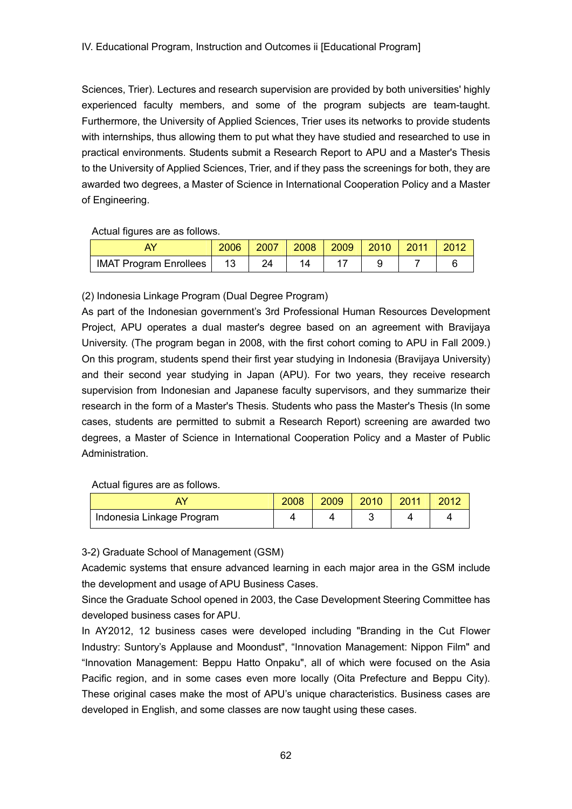Sciences, Trier). Lectures and research supervision are provided by both universities' highly experienced faculty members, and some of the program subjects are team-taught. Furthermore, the University of Applied Sciences, Trier uses its networks to provide students with internships, thus allowing them to put what they have studied and researched to use in practical environments. Students submit a Research Report to APU and a Master's Thesis to the University of Applied Sciences, Trier, and if they pass the screenings for both, they are awarded two degrees, a Master of Science in International Cooperation Policy and a Master of Engineering.

Actual figures are as follows.

|                               | 2006 | 2007 | 2008 | 2009 | 2010 |  |
|-------------------------------|------|------|------|------|------|--|
| <b>IMAT Program Enrollees</b> | 13   |      |      |      |      |  |

(2) Indonesia Linkage Program (Dual Degree Program)

As part of the Indonesian government's 3rd Professional Human Resources Development Project, APU operates a dual master's degree based on an agreement with Bravijaya University. (The program began in 2008, with the first cohort coming to APU in Fall 2009.) On this program, students spend their first year studying in Indonesia (Bravijaya University) and their second year studying in Japan (APU). For two years, they receive research supervision from Indonesian and Japanese faculty supervisors, and they summarize their research in the form of a Master's Thesis. Students who pass the Master's Thesis (In some cases, students are permitted to submit a Research Report) screening are awarded two degrees, a Master of Science in International Cooperation Policy and a Master of Public Administration.

Actual figures are as follows.

| AY                        | 2008 | 2009 | 2010 | 2011 | 2012 |
|---------------------------|------|------|------|------|------|
| Indonesia Linkage Program |      |      |      |      |      |

3-2) Graduate School of Management (GSM)

Academic systems that ensure advanced learning in each major area in the GSM include the development and usage of APU Business Cases.

Since the Graduate School opened in 2003, the Case Development Steering Committee has developed business cases for APU.

In AY2012, 12 business cases were developed including "Branding in the Cut Flower Industry: Suntory's Applause and Moondust", "Innovation Management: Nippon Film" and "Innovation Management: Beppu Hatto Onpaku", all of which were focused on the Asia Pacific region, and in some cases even more locally (Oita Prefecture and Beppu City). These original cases make the most of APU's unique characteristics. Business cases are developed in English, and some classes are now taught using these cases.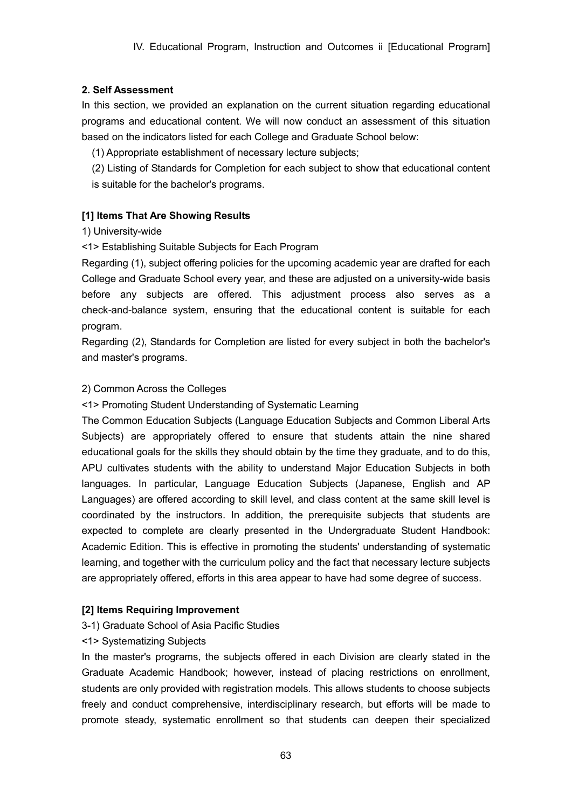## **2. Self Assessment**

In this section, we provided an explanation on the current situation regarding educational programs and educational content. We will now conduct an assessment of this situation based on the indicators listed for each College and Graduate School below:

(1) Appropriate establishment of necessary lecture subjects;

(2) Listing of Standards for Completion for each subject to show that educational content is suitable for the bachelor's programs.

## **[1] Items That Are Showing Results**

## 1) University-wide

<1> Establishing Suitable Subjects for Each Program

Regarding (1), subject offering policies for the upcoming academic year are drafted for each College and Graduate School every year, and these are adjusted on a university-wide basis before any subjects are offered. This adjustment process also serves as a check-and-balance system, ensuring that the educational content is suitable for each program.

Regarding (2), Standards for Completion are listed for every subject in both the bachelor's and master's programs.

## 2) Common Across the Colleges

<1> Promoting Student Understanding of Systematic Learning

The Common Education Subjects (Language Education Subjects and Common Liberal Arts Subjects) are appropriately offered to ensure that students attain the nine shared educational goals for the skills they should obtain by the time they graduate, and to do this, APU cultivates students with the ability to understand Major Education Subjects in both languages. In particular, Language Education Subjects (Japanese, English and AP Languages) are offered according to skill level, and class content at the same skill level is coordinated by the instructors. In addition, the prerequisite subjects that students are expected to complete are clearly presented in the Undergraduate Student Handbook: Academic Edition. This is effective in promoting the students' understanding of systematic learning, and together with the curriculum policy and the fact that necessary lecture subjects are appropriately offered, efforts in this area appear to have had some degree of success.

# **[2] Items Requiring Improvement**

3-1) Graduate School of Asia Pacific Studies

## <1> Systematizing Subjects

In the master's programs, the subjects offered in each Division are clearly stated in the Graduate Academic Handbook; however, instead of placing restrictions on enrollment, students are only provided with registration models. This allows students to choose subjects freely and conduct comprehensive, interdisciplinary research, but efforts will be made to promote steady, systematic enrollment so that students can deepen their specialized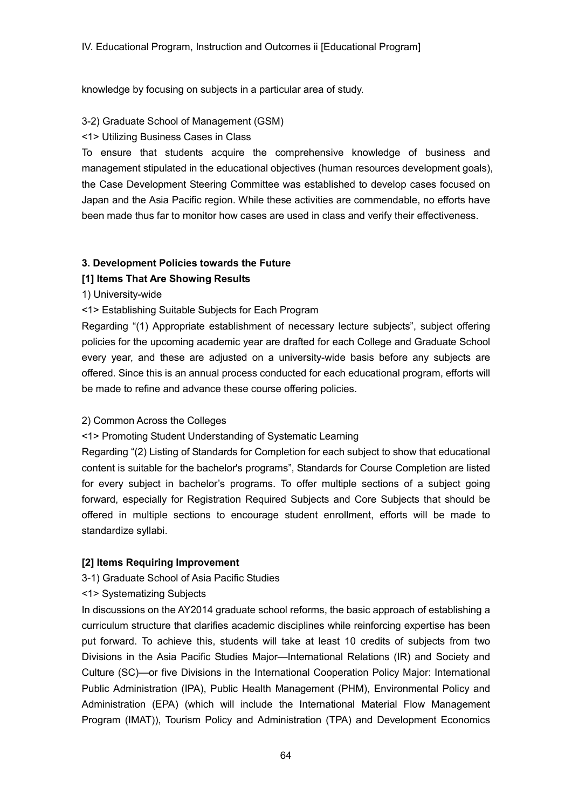knowledge by focusing on subjects in a particular area of study.

3-2) Graduate School of Management (GSM)

## <1> Utilizing Business Cases in Class

To ensure that students acquire the comprehensive knowledge of business and management stipulated in the educational objectives (human resources development goals), the Case Development Steering Committee was established to develop cases focused on Japan and the Asia Pacific region. While these activities are commendable, no efforts have been made thus far to monitor how cases are used in class and verify their effectiveness.

## **3. Development Policies towards the Future**

## **[1] Items That Are Showing Results**

1) University-wide

<1> Establishing Suitable Subjects for Each Program

Regarding "(1) Appropriate establishment of necessary lecture subjects", subject offering policies for the upcoming academic year are drafted for each College and Graduate School every year, and these are adjusted on a university-wide basis before any subjects are offered. Since this is an annual process conducted for each educational program, efforts will be made to refine and advance these course offering policies.

## 2) Common Across the Colleges

# <1> Promoting Student Understanding of Systematic Learning

Regarding "(2) Listing of Standards for Completion for each subject to show that educational content is suitable for the bachelor's programs", Standards for Course Completion are listed for every subject in bachelor's programs. To offer multiple sections of a subject going forward, especially for Registration Required Subjects and Core Subjects that should be offered in multiple sections to encourage student enrollment, efforts will be made to standardize syllabi.

## **[2] Items Requiring Improvement**

# 3-1) Graduate School of Asia Pacific Studies

# <1> Systematizing Subjects

In discussions on the AY2014 graduate school reforms, the basic approach of establishing a curriculum structure that clarifies academic disciplines while reinforcing expertise has been put forward. To achieve this, students will take at least 10 credits of subjects from two Divisions in the Asia Pacific Studies Major—International Relations (IR) and Society and Culture (SC)—or five Divisions in the International Cooperation Policy Major: International Public Administration (IPA), Public Health Management (PHM), Environmental Policy and Administration (EPA) (which will include the International Material Flow Management Program (IMAT)), Tourism Policy and Administration (TPA) and Development Economics